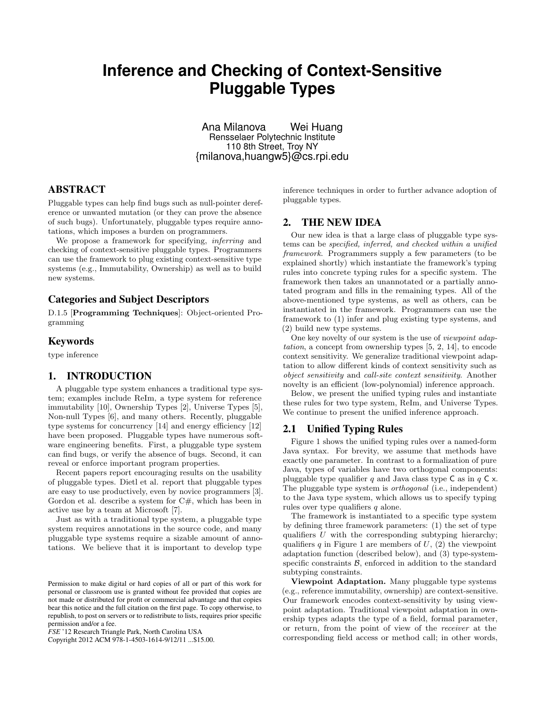# **Inference and Checking of Context-Sensitive Pluggable Types**

Ana Milanova Wei Huang Rensselaer Polytechnic Institute 110 8th Street, Troy NY {milanova,huangw5}@cs.rpi.edu

## ABSTRACT

Pluggable types can help find bugs such as null-pointer dereference or unwanted mutation (or they can prove the absence of such bugs). Unfortunately, pluggable types require annotations, which imposes a burden on programmers.

We propose a framework for specifying, *inferring* and checking of context-sensitive pluggable types. Programmers can use the framework to plug existing context-sensitive type systems (e.g., Immutability, Ownership) as well as to build new systems.

## Categories and Subject Descriptors

D.1.5 [Programming Techniques]: Object-oriented Programming

#### Keywords

type inference

## 1. INTRODUCTION

A pluggable type system enhances a traditional type system; examples include ReIm, a type system for reference immutability [10], Ownership Types [2], Universe Types [5], Non-null Types [6], and many others. Recently, pluggable type systems for concurrency [14] and energy efficiency [12] have been proposed. Pluggable types have numerous software engineering benefits. First, a pluggable type system can find bugs, or verify the absence of bugs. Second, it can reveal or enforce important program properties.

Recent papers report encouraging results on the usability of pluggable types. Dietl et al. report that pluggable types are easy to use productively, even by novice programmers [3]. Gordon et al. describe a system for  $C#$ , which has been in active use by a team at Microsoft [7].

Just as with a traditional type system, a pluggable type system requires annotations in the source code, and many pluggable type systems require a sizable amount of annotations. We believe that it is important to develop type

Copyright 2012 ACM 978-1-4503-1614-9/12/11 ...\$15.00.

inference techniques in order to further advance adoption of pluggable types.

## 2. THE NEW IDEA

Our new idea is that a large class of pluggable type systems can be specified, inferred, and checked within a unified framework. Programmers supply a few parameters (to be explained shortly) which instantiate the framework's typing rules into concrete typing rules for a specific system. The framework then takes an unannotated or a partially annotated program and fills in the remaining types. All of the above-mentioned type systems, as well as others, can be instantiated in the framework. Programmers can use the framework to (1) infer and plug existing type systems, and (2) build new type systems.

One key novelty of our system is the use of viewpoint adaptation, a concept from ownership types [5, 2, 14], to encode context sensitivity. We generalize traditional viewpoint adaptation to allow different kinds of context sensitivity such as object sensitivity and call-site context sensitivity. Another novelty is an efficient (low-polynomial) inference approach.

Below, we present the unified typing rules and instantiate these rules for two type system, ReIm, and Universe Types. We continue to present the unified inference approach.

## 2.1 Unified Typing Rules

Figure 1 shows the unified typing rules over a named-form Java syntax. For brevity, we assume that methods have exactly one parameter. In contrast to a formalization of pure Java, types of variables have two orthogonal components: pluggable type qualifier q and Java class type  $\mathsf C$  as in  $q \mathsf C \times$ . The pluggable type system is orthogonal (i.e., independent) to the Java type system, which allows us to specify typing rules over type qualifiers  $q$  alone.

The framework is instantiated to a specific type system by defining three framework parameters: (1) the set of type qualifiers  $U$  with the corresponding subtyping hierarchy; qualifiers q in Figure 1 are members of  $U$ , (2) the viewpoint adaptation function (described below), and (3) type-systemspecific constraints  $\beta$ , enforced in addition to the standard subtyping constraints.

Viewpoint Adaptation. Many pluggable type systems (e.g., reference immutability, ownership) are context-sensitive. Our framework encodes context-sensitivity by using viewpoint adaptation. Traditional viewpoint adaptation in ownership types adapts the type of a field, formal parameter, or return, from the point of view of the receiver at the corresponding field access or method call; in other words,

Permission to make digital or hard copies of all or part of this work for personal or classroom use is granted without fee provided that copies are not made or distributed for profit or commercial advantage and that copies bear this notice and the full citation on the first page. To copy otherwise, to republish, to post on servers or to redistribute to lists, requires prior specific permission and/or a fee.

*FSE* '12 Research Triangle Park, North Carolina USA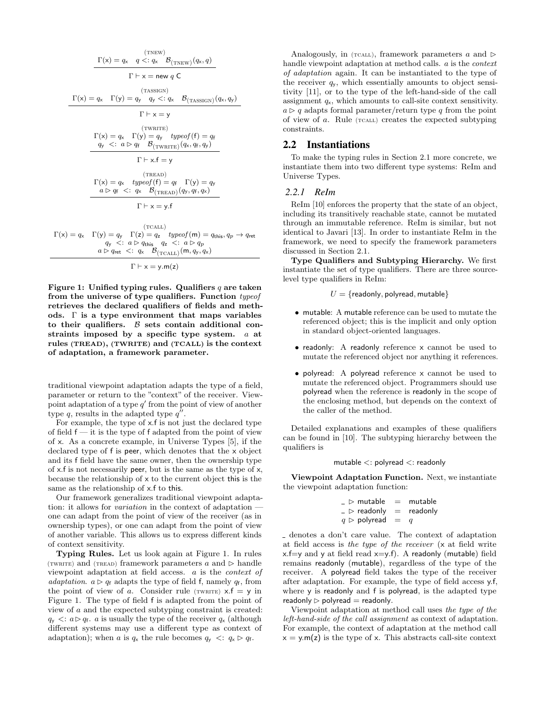$$
\Gamma(x) = q_x \quad q <: q_x \quad \mathcal{B}_{\text{(TNEW)}}(q_x, q)
$$
\n
$$
\Gamma \vdash x = \text{new } q \mathrel{\mathsf{C}}
$$
\n
$$
\Gamma(x) = q_x \quad \Gamma(y) = q_y \quad q_y <: q_x \quad \mathcal{B}_{\text{(TASSIGN)}}(q_x, q_y)
$$
\n
$$
\Gamma \vdash x = y
$$
\n
$$
\Gamma(x) = q_x \quad \Gamma(y) = q_y \quad typeof(\mathsf{f}) = q_{\mathsf{f}}
$$
\n
$$
q_y <: a \rhd q_{\mathsf{f}} \quad \mathcal{B}_{\text{(TWRITE)}}(q_x, q_{\mathsf{f}}, q_y)
$$
\n
$$
\Gamma \vdash x.\mathsf{f} = y
$$
\n
$$
\Gamma(x) = q_x \quad typeof(\mathsf{f}) = q_{\mathsf{f}} \quad \Gamma(y) = q_y
$$
\n
$$
a \rhd q_{\mathsf{f}} <: q_x \quad \mathcal{B}_{\text{(TREAD)}}(q_y, q_{\mathsf{f}}, q_x)
$$
\n
$$
\Gamma \vdash x = y.\mathsf{f}
$$

 $(TCALL)$  $\Gamma(x) = q_x \Gamma(y) = q_y \Gamma(z) = q_z \text{ type of } (\mathsf{m}) = q_{\text{this}}, q_p \rightarrow q_{\text{ret}}$  $q_{\mathsf{y}}$   $\lt: a \triangleright q_{\mathsf{this}}$   $q_{\mathsf{z}} \lt: a \triangleright q_{p}$  $a \triangleright q_{\text{ret}} \prec: q_{\text{x}} \quad \mathcal{B}_{(\text{TCALL})}(\textsf{m}, q_{\text{y}}, q_{\text{x}})$ 

 $\Gamma \vdash x = y.m(z)$ 

Figure 1: Unified typing rules. Qualifiers  $q$  are taken from the universe of type qualifiers. Function typeof retrieves the declared qualifiers of fields and methods.  $\Gamma$  is a type environment that maps variables to their qualifiers.  $\beta$  sets contain additional constraints imposed by a specific type system. a at rules (TREAD), (TWRITE) and (TCALL) is the context of adaptation, a framework parameter.

traditional viewpoint adaptation adapts the type of a field, parameter or return to the "context" of the receiver. Viewpoint adaptation of a type  $q'$  from the point of view of another type  $q$ , results in the adapted type  $q''$ .

For example, the type of x.f is not just the declared type of field  $f - it$  is the type of f adapted from the point of view of x. As a concrete example, in Universe Types [5], if the declared type of f is peer, which denotes that the x object and its f field have the same owner, then the ownership type of x.f is not necessarily peer, but is the same as the type of x, because the relationship of x to the current object this is the same as the relationship of x.f to this.

Our framework generalizes traditional viewpoint adaptation: it allows for *variation* in the context of adaptation – one can adapt from the point of view of the receiver (as in ownership types), or one can adapt from the point of view of another variable. This allows us to express different kinds of context sensitivity.

Typing Rules. Let us look again at Figure 1. In rules (TWRITE) and (TREAD) framework parameters  $a$  and  $\triangleright$  handle viewpoint adaptation at field access. a is the context of adaptation.  $a \triangleright q_f$  adapts the type of field f, namely  $q_f$ , from the point of view of a. Consider rule (TWRITE)  $x.f = y$  in Figure 1. The type of field f is adapted from the point of view of a and the expected subtyping constraint is created:  $q_{\rm y}$   $\langle$ :  $a \triangleright q_{\rm f}$ . a is usually the type of the receiver  $q_{\rm x}$  (although different systems may use a different type as context of adaptation); when a is  $q_x$  the rule becomes  $q_y \prec q_x \triangleright q_f$ .

Analogously, in (TCALL), framework parameters  $a$  and  $\triangleright$ handle viewpoint adaptation at method calls. a is the context of adaptation again. It can be instantiated to the type of the receiver  $q_y$ , which essentially amounts to object sensitivity [11], or to the type of the left-hand-side of the call assignment  $q_{x}$ , which amounts to call-site context sensitivity.  $a \triangleright q$  adapts formal parameter/return type q from the point of view of  $a$ . Rule ( $\tau$ CALL) creates the expected subtyping constraints.

#### 2.2 Instantiations

To make the typing rules in Section 2.1 more concrete, we instantiate them into two different type systems: ReIm and Universe Types.

#### *2.2.1 ReIm*

ReIm [10] enforces the property that the state of an object, including its transitively reachable state, cannot be mutated through an immutable reference. ReIm is similar, but not identical to Javari [13]. In order to instantiate ReIm in the framework, we need to specify the framework parameters discussed in Section 2.1.

Type Qualifiers and Subtyping Hierarchy. We first instantiate the set of type qualifiers. There are three sourcelevel type qualifiers in ReIm:

$$
U = \{readonly, polyread, mutable\}
$$

- mutable: A mutable reference can be used to mutate the referenced object; this is the implicit and only option in standard object-oriented languages.
- readonly: A readonly reference x cannot be used to mutate the referenced object nor anything it references.
- polyread: A polyread reference x cannot be used to mutate the referenced object. Programmers should use polyread when the reference is readonly in the scope of the enclosing method, but depends on the context of the caller of the method.

Detailed explanations and examples of these qualifiers can be found in [10]. The subtyping hierarchy between the qualifiers is

$$
\mathsf{mutable} <: \mathsf{polyread} <: \mathsf{readonly}
$$

Viewpoint Adaptation Function. Next, we instantiate the viewpoint adaptation function:

| $\_$ $\triangleright$ mutable    | $=$ | mutable  |
|----------------------------------|-----|----------|
| $\mathsf{p} > \mathsf{readonly}$ | $=$ | readonly |
| $q \,\triangleright\,$ polyread  | $=$ | a        |

denotes a don't care value. The context of adaptation at field access is the type of the receiver (x at field write  $x.f=y$  and y at field read  $x=y.f$ ). A readonly (mutable) field remains readonly (mutable), regardless of the type of the receiver. A polyread field takes the type of the receiver after adaptation. For example, the type of field access y.f, where y is readonly and f is polyread, is the adapted type readonly  $\triangleright$  polyread  $=$  readonly.

Viewpoint adaptation at method call uses the type of the left-hand-side of the call assignment as context of adaptation. For example, the context of adaptation at the method call  $x = y.m(z)$  is the type of x. This abstracts call-site context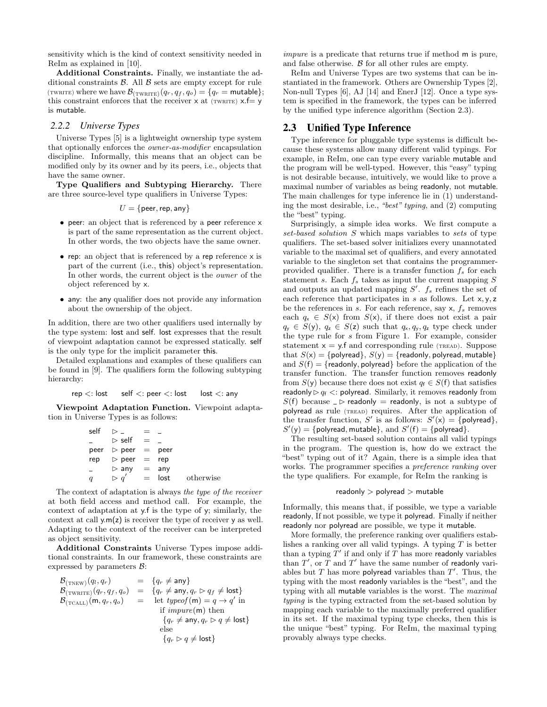sensitivity which is the kind of context sensitivity needed in ReIm as explained in [10].

Additional Constraints. Finally, we instantiate the additional constraints  $\beta$ . All  $\beta$  sets are empty except for rule (TWRITE) where we have  $\mathcal{B}_{(\text{TWRITE})}(q_r, q_f, q_o) = \{q_r = \text{mutable}\};$ this constraint enforces that the receiver  $x$  at (twrite)  $x.f = y$ is mutable.

#### *2.2.2 Universe Types*

Universe Types [5] is a lightweight ownership type system that optionally enforces the owner-as-modifier encapsulation discipline. Informally, this means that an object can be modified only by its owner and by its peers, i.e., objects that have the same owner.

Type Qualifiers and Subtyping Hierarchy. There are three source-level type qualifiers in Universe Types:

$$
U = \{\text{peer}, \text{rep}, \text{any}\}
$$

- peer: an object that is referenced by a peer reference x is part of the same representation as the current object. In other words, the two objects have the same owner.
- rep: an object that is referenced by a rep reference x is part of the current (i.e., this) object's representation. In other words, the current object is the owner of the object referenced by x.
- any: the any qualifier does not provide any information about the ownership of the object.

In addition, there are two other qualifiers used internally by the type system: lost and self. lost expresses that the result of viewpoint adaptation cannot be expressed statically. self is the only type for the implicit parameter this.

Detailed explanations and examples of these qualifiers can be found in [9]. The qualifiers form the following subtyping hierarchy:

$$
\mathsf{rep} <: \mathsf{lost} \qquad \mathsf{self} <: \mathsf{peer} <: \mathsf{lost} \qquad \mathsf{lost} <: \mathsf{any}
$$

Viewpoint Adaptation Function. Viewpoint adaptation in Universe Types is as follows:

| self             | ▷                              |     |      |           |
|------------------|--------------------------------|-----|------|-----------|
|                  | $\triangleright$ self          | $=$ |      |           |
|                  | peer $\triangleright$ peer $=$ |     | peer |           |
| rep              | $\triangleright$ peer =        |     | rep  |           |
| $\equiv$         | $\triangleright$ any           | $=$ | any  |           |
| $\scriptstyle q$ | $q^{\prime}$<br>⊳              | $=$ | lost | otherwise |

The context of adaptation is always the type of the receiver at both field access and method call. For example, the context of adaptation at y.f is the type of y; similarly, the context at call  $y.m(z)$  is receiver the type of receiver  $y$  as well. Adapting to the context of the receiver can be interpreted as object sensitivity.

Additional Constraints Universe Types impose additional constraints. In our framework, these constraints are expressed by parameters  $\mathcal{B}$ :

| $\mathcal{B}_{(\text{TNEW})}(q_l,q_r)$               |     | $= \{q_r \neq \text{any}\}\$                                          |
|------------------------------------------------------|-----|-----------------------------------------------------------------------|
| $\mathcal{B}_{(\text{TWRITE})}(q_r, q_f, q_o)$       |     | $= \{q_r \neq \text{any}, q_r \triangleright q_f \neq \text{lost}\}\$ |
| $\mathcal{B}_{(\text{TCALL})}(\mathsf{m}, q_r, q_o)$ | $=$ | let <i>typeof</i> (m) = $q \rightarrow q'$ in                         |
|                                                      |     | if $impure(m)$ then                                                   |
|                                                      |     | ${q_r \neq \text{any}, q_r \triangleright q \neq \text{lost}}$        |
|                                                      |     | else                                                                  |
|                                                      |     | ${q_r \triangleright q \neq \textsf{lost}}$                           |

impure is a predicate that returns true if method m is pure, and false otherwise.  $\beta$  for all other rules are empty.

ReIm and Universe Types are two systems that can be instantiated in the framework. Others are Ownership Types [2], Non-null Types [6], AJ [14] and EnerJ [12]. Once a type system is specified in the framework, the types can be inferred by the unified type inference algorithm (Section 2.3).

## 2.3 Unified Type Inference

Type inference for pluggable type systems is difficult because these systems allow many different valid typings. For example, in ReIm, one can type every variable mutable and the program will be well-typed. However, this "easy" typing is not desirable because, intuitively, we would like to prove a maximal number of variables as being readonly, not mutable. The main challenges for type inference lie in (1) understanding the most desirable, i.e., "best" typing, and (2) computing the "best" typing.

Surprisingly, a simple idea works. We first compute a set-based solution S which maps variables to sets of type qualifiers. The set-based solver initializes every unannotated variable to the maximal set of qualifiers, and every annotated variable to the singleton set that contains the programmerprovided qualifier. There is a transfer function  $f_s$  for each statement s. Each  $f_s$  takes as input the current mapping  $S$ and outputs an updated mapping  $S'$ .  $f_s$  refines the set of each reference that participates in  $s$  as follows. Let  $x, y, z$ be the references in s. For each reference, say  $x, f_s$  removes each  $q_x \in S(x)$  from  $S(x)$ , if there does not exist a pair  $q_{y} \in S(y)$ ,  $q_{z} \in S(z)$  such that  $q_{x}, q_{y}, q_{z}$  type check under the type rule for s from Figure 1. For example, consider statement  $x = y$  f and corresponding rule (TREAD). Suppose that  $S(x) = \{$ polyread $\}, S(y) = \{$ readonly, polyread, mutable $\}$ and  $S(f) = {read only, polyread}$  before the application of the transfer function. The transfer function removes readonly from  $S(y)$  because there does not exist  $q_f \in S(f)$  that satisfies readonly  $\triangleright q_f \lt:$  polyread. Similarly, it removes readonly from  $S(f)$  because  $\Box$  readonly = readonly, is not a subtype of polyread as rule (TREAD) requires. After the application of the transfer function, S' is as follows:  $S'(x) = \{\text{polyread}\},\$  $S'(y) = \{$  polyread, mutable  $\}$ , and  $S'(f) = \{$  polyread  $\}.$ 

The resulting set-based solution contains all valid typings in the program. The question is, how do we extract the "best" typing out of it? Again, there is a simple idea that works. The programmer specifies a *preference ranking* over the type qualifiers. For example, for ReIm the ranking is

#### readonly > polyread > mutable

Informally, this means that, if possible, we type a variable readonly, If not possible, we type it polyread. Finally if neither readonly nor polyread are possible, we type it mutable.

More formally, the preference ranking over qualifiers establishes a ranking over all valid typings. A typing  $T$  is better than a typing  $T'$  if and only if T has more readonly variables than  $T'$ , or  $\overline{T}$  and  $T'$  have the same number of readonly variables but  $T$  has more polyread variables than  $T'$ . Thus, the typing with the most readonly variables is the "best", and the typing with all mutable variables is the worst. The maximal typing is the typing extracted from the set-based solution by mapping each variable to the maximally preferred qualifier in its set. If the maximal typing type checks, then this is the unique "best" typing. For ReIm, the maximal typing provably always type checks.